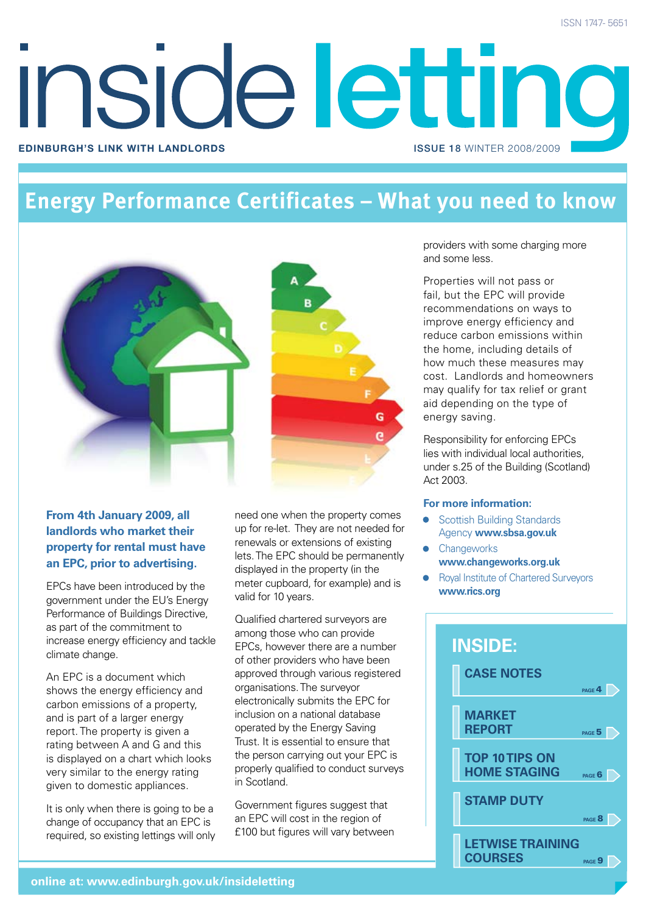# **Inside lettind Edinburgh's link with landlords** issue 18 winter 2008/2009

### **Energy Performance Certificates – What you need to know**



#### **From 4th January 2009, all landlords who market their property for rental must have an EPC, prior to advertising.**

EPCs have been introduced by the government under the EU's Energy Performance of Buildings Directive, as part of the commitment to increase energy efficiency and tackle climate change.

An EPC is a document which shows the energy efficiency and carbon emissions of a property, and is part of a larger energy report. The property is given a rating between A and G and this is displayed on a chart which looks very similar to the energy rating given to domestic appliances.

It is only when there is going to be a change of occupancy that an EPC is required, so existing lettings will only need one when the property comes up for re-let. They are not needed for renewals or extensions of existing lets. The EPC should be permanently displayed in the property (in the meter cupboard, for example) and is valid for 10 years.

Qualified chartered surveyors are among those who can provide EPCs, however there are a number of other providers who have been approved through various registered organisations. The surveyor electronically submits the EPC for inclusion on a national database operated by the Energy Saving Trust. It is essential to ensure that the person carrying out your EPC is properly qualified to conduct surveys in Scotland.

Government figures suggest that an EPC will cost in the region of £100 but figures will vary between

providers with some charging more and some less.

Properties will not pass or fail, but the EPC will provide recommendations on ways to improve energy efficiency and reduce carbon emissions within the home, including details of how much these measures may cost. Landlords and homeowners may qualify for tax relief or grant aid depending on the type of energy saving.

Responsibility for enforcing EPCs lies with individual local authorities, under s.25 of the Building (Scotland) Act 2003.

#### **For more information:**

- Scottish Building Standards Agency **www.sbsa.gov.uk**
- **Changeworks www.changeworks.org.uk**
- Royal Institute of Chartered Surveyors **www.rics.org**

#### **case notes MARKET REPORT top 10 tips on home staging stamp duty LETWISE TRAINING COURSES inside: page 6 page 8 page** 9 **page 5 page 4**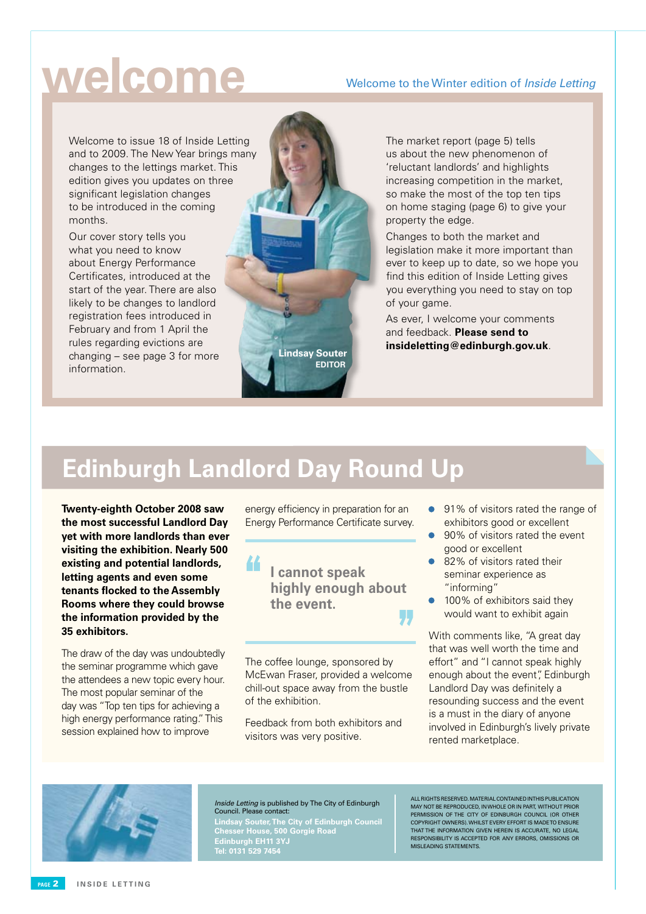## **welcome**

#### Welcome to the Winter edition of Inside Letting

Welcome to issue 18 of Inside Letting and to 2009. The New Year brings many changes to the lettings market. This edition gives you updates on three significant legislation changes to be introduced in the coming months.

Our cover story tells you what you need to know about Energy Performance Certificates, introduced at the start of the year. There are also likely to be changes to landlord registration fees introduced in February and from 1 April the rules regarding evictions are changing – see page 3 for more information.



The market report (page 5) tells us about the new phenomenon of 'reluctant landlords' and highlights increasing competition in the market, so make the most of the top ten tips on home staging (page 6) to give your property the edge.

Changes to both the market and legislation make it more important than ever to keep up to date, so we hope you find this edition of Inside Letting gives you everything you need to stay on top of your game.

As ever, I welcome your comments and feedback. **Please send to insideletting@edinburgh.gov.uk**. **Lindsay Souter**

### **Edinburgh Landlord Day Round Up**

44

**Twenty-eighth October 2008 saw the most successful Landlord Day yet with more landlords than ever visiting the exhibition. Nearly 500 existing and potential landlords, letting agents and even some tenants flocked to the Assembly Rooms where they could browse the information provided by the 35 exhibitors.**

The draw of the day was undoubtedly the seminar programme which gave the attendees a new topic every hour. The most popular seminar of the day was "Top ten tips for achieving a high energy performance rating." This session explained how to improve

energy efficiency in preparation for an Energy Performance Certificate survey.

> **I cannot speak highly enough about the event.**

The coffee lounge, sponsored by McEwan Fraser, provided a welcome chill-out space away from the bustle of the exhibition.

Feedback from both exhibitors and visitors was very positive.

- 91% of visitors rated the range of exhibitors good or excellent
- 90% of visitors rated the event good or excellent
- 82% of visitors rated their seminar experience as "informing"
- 100% of exhibitors said they would want to exhibit again

With comments like, "A great day that was well worth the time and effort" and "I cannot speak highly enough about the event", Edinburgh Landlord Day was definitely a resounding success and the event is a must in the diary of anyone involved in Edinburgh's lively private rented marketplace.



Inside Letting is published by The City of Edinburgh Council. Please contact:

**Lindsay Souter, The City of Edinburgh Council Chesser House, 500 Gorgie Road Edinburgh EH11 3YJ Tel: 0131 529 7454**

All rights reserved. Material contained in this publication may not be reproduced, in whole or in part, without prior permission of the City of Edinburgh Council (OR OTHER COPYRIGHT OWNERS). Whilst every effort is made to ensure that the information given herein is accurate, no legal responsibility is accepted for any errors, omissions or misleading statements.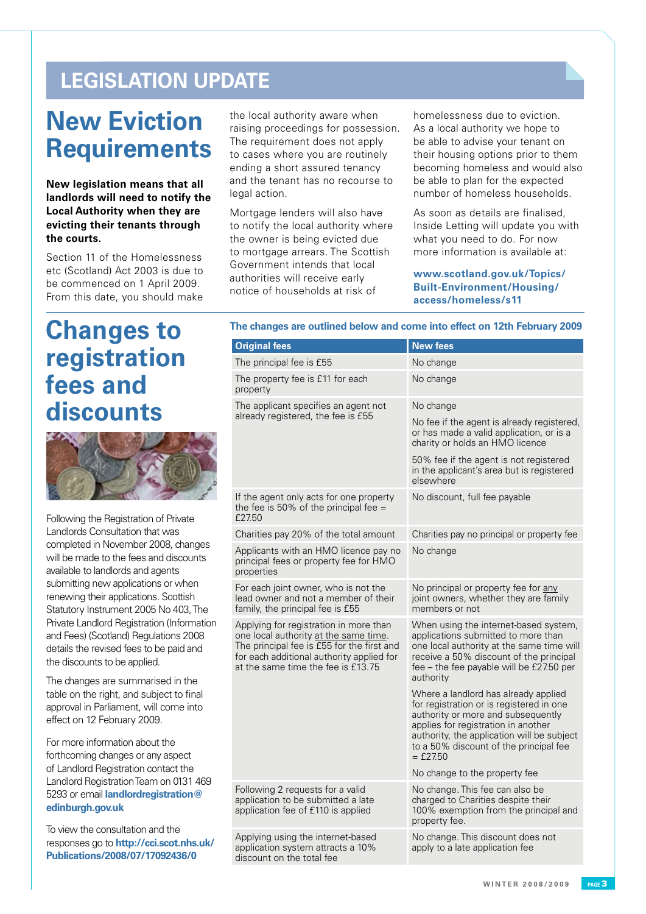### **LEGISLATION UPDATE**

## **New Eviction Requirements**

**New legislation means that all landlords will need to notify the Local Authority when they are evicting their tenants through the courts.**

Section 11 of the Homelessness etc (Scotland) Act 2003 is due to be commenced on 1 April 2009. From this date, you should make

## **Changes to registration fees and discounts**



Following the Registration of Private Landlords Consultation that was completed in November 2008, changes will be made to the fees and discounts available to landlords and agents submitting new applications or when renewing their applications. Scottish Statutory Instrument 2005 No 403, The Private Landlord Registration (Information and Fees) (Scotland) Regulations 2008 details the revised fees to be paid and the discounts to be applied.

The changes are summarised in the table on the right, and subject to final approval in Parliament, will come into effect on 12 February 2009.

For more information about the forthcoming changes or any aspect of Landlord Registration contact the Landlord Registration Team on 0131 469 5293 or email **landlordregistration@ edinburgh.gov.uk**

To view the consultation and the responses go to **http://cci.scot.nhs.uk/ Publications/2008/07/17092436/0**

the local authority aware when raising proceedings for possession. The requirement does not apply to cases where you are routinely ending a short assured tenancy and the tenant has no recourse to legal action.

Mortgage lenders will also have to notify the local authority where the owner is being evicted due to mortgage arrears. The Scottish Government intends that local authorities will receive early notice of households at risk of

homelessness due to eviction. As a local authority we hope to be able to advise your tenant on their housing options prior to them becoming homeless and would also be able to plan for the expected number of homeless households.

As soon as details are finalised, Inside Letting will update you with what you need to do. For now more information is available at:

**www.scotland.gov.uk/Topics/ Built-Environment/Housing/ access/homeless/s11**

#### **The changes are outlined below and come into effect on 12th February 2009**

| <b>Original fees</b>                                                                                                                                                                                             | <b>New fees</b>                                                                                                                                                                                                                                                     |
|------------------------------------------------------------------------------------------------------------------------------------------------------------------------------------------------------------------|---------------------------------------------------------------------------------------------------------------------------------------------------------------------------------------------------------------------------------------------------------------------|
| The principal fee is £55                                                                                                                                                                                         | No change                                                                                                                                                                                                                                                           |
| The property fee is £11 for each<br>property                                                                                                                                                                     | No change                                                                                                                                                                                                                                                           |
| The applicant specifies an agent not<br>already registered, the fee is £55                                                                                                                                       | No change                                                                                                                                                                                                                                                           |
|                                                                                                                                                                                                                  | No fee if the agent is already registered,<br>or has made a valid application, or is a<br>charity or holds an HMO licence                                                                                                                                           |
|                                                                                                                                                                                                                  | 50% fee if the agent is not registered<br>in the applicant's area but is registered<br>elsewhere                                                                                                                                                                    |
| If the agent only acts for one property<br>the fee is 50% of the principal fee $=$<br>£27.50                                                                                                                     | No discount, full fee payable                                                                                                                                                                                                                                       |
| Charities pay 20% of the total amount                                                                                                                                                                            | Charities pay no principal or property fee                                                                                                                                                                                                                          |
| Applicants with an HMO licence pay no<br>principal fees or property fee for HMO<br>properties                                                                                                                    | No change                                                                                                                                                                                                                                                           |
| For each joint owner, who is not the<br>lead owner and not a member of their<br>family, the principal fee is £55                                                                                                 | No principal or property fee for any<br>joint owners, whether they are family<br>members or not                                                                                                                                                                     |
| Applying for registration in more than<br>one local authority at the same time.<br>The principal fee is £55 for the first and<br>for each additional authority applied for<br>at the same time the fee is £13.75 | When using the internet-based system,<br>applications submitted to more than<br>one local authority at the same time will<br>receive a 50% discount of the principal<br>fee - the fee payable will be £27.50 per<br>authority                                       |
|                                                                                                                                                                                                                  | Where a landlord has already applied<br>for registration or is registered in one<br>authority or more and subsequently<br>applies for registration in another<br>authority, the application will be subject<br>to a 50% discount of the principal fee<br>$=$ £27.50 |
|                                                                                                                                                                                                                  | No change to the property fee                                                                                                                                                                                                                                       |
| Following 2 requests for a valid<br>application to be submitted a late<br>application fee of £110 is applied                                                                                                     | No change. This fee can also be<br>charged to Charities despite their<br>100% exemption from the principal and<br>property fee.                                                                                                                                     |
| Applying using the internet-based<br>application system attracts a 10%<br>discount on the total fee                                                                                                              | No change. This discount does not<br>apply to a late application fee                                                                                                                                                                                                |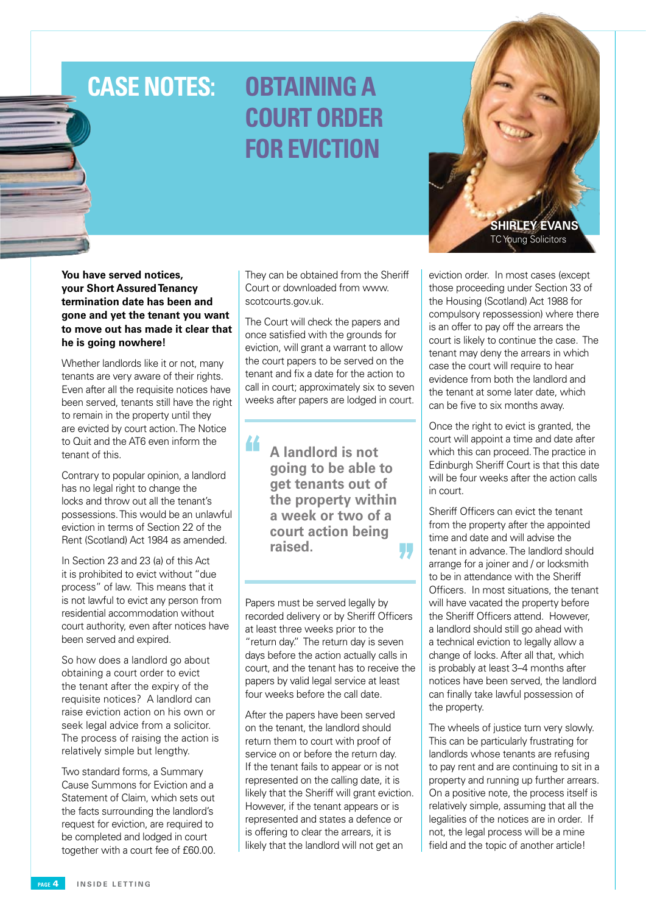## **Case Notes:**

## **obtaining a court order for eviction**

**You have served notices, your Short Assured Tenancy termination date has been and gone and yet the tenant you want to move out has made it clear that he is going nowhere!** 

Whether landlords like it or not, many tenants are very aware of their rights. Even after all the requisite notices have been served, tenants still have the right to remain in the property until they are evicted by court action. The Notice to Quit and the AT6 even inform the tenant of this.

Contrary to popular opinion, a landlord has no legal right to change the locks and throw out all the tenant's possessions. This would be an unlawful eviction in terms of Section 22 of the Rent (Scotland) Act 1984 as amended.

In Section 23 and 23 (a) of this Act it is prohibited to evict without "due process" of law. This means that it is not lawful to evict any person from residential accommodation without court authority, even after notices have been served and expired.

So how does a landlord go about obtaining a court order to evict the tenant after the expiry of the requisite notices? A landlord can raise eviction action on his own or seek legal advice from a solicitor. The process of raising the action is relatively simple but lengthy.

Two standard forms, a Summary Cause Summons for Eviction and a Statement of Claim, which sets out the facts surrounding the landlord's request for eviction, are required to be completed and lodged in court together with a court fee of £60.00.

They can be obtained from the Sheriff Court or downloaded from www. scotcourts.gov.uk.

The Court will check the papers and once satisfied with the grounds for eviction, will grant a warrant to allow the court papers to be served on the tenant and fix a date for the action to call in court; approximately six to seven weeks after papers are lodged in court.

> **A landlord is not going to be able to get tenants out of the property within a week or two of a court action being raised.** IJ.,

44

Papers must be served legally by recorded delivery or by Sheriff Officers at least three weeks prior to the "return day." The return day is seven days before the action actually calls in court, and the tenant has to receive the papers by valid legal service at least four weeks before the call date.

After the papers have been served on the tenant, the landlord should return them to court with proof of service on or before the return day. If the tenant fails to appear or is not represented on the calling date, it is likely that the Sheriff will grant eviction. However, if the tenant appears or is represented and states a defence or is offering to clear the arrears, it is likely that the landlord will not get an



eviction order. In most cases (except those proceeding under Section 33 of the Housing (Scotland) Act 1988 for compulsory repossession) where there is an offer to pay off the arrears the court is likely to continue the case. The tenant may deny the arrears in which case the court will require to hear evidence from both the landlord and the tenant at some later date, which can be five to six months away.

Once the right to evict is granted, the court will appoint a time and date after which this can proceed. The practice in Edinburgh Sheriff Court is that this date will be four weeks after the action calls in court.

Sheriff Officers can evict the tenant from the property after the appointed time and date and will advise the tenant in advance. The landlord should arrange for a joiner and / or locksmith to be in attendance with the Sheriff Officers. In most situations, the tenant will have vacated the property before the Sheriff Officers attend. However, a landlord should still go ahead with a technical eviction to legally allow a change of locks. After all that, which is probably at least 3–4 months after notices have been served, the landlord can finally take lawful possession of the property.

The wheels of justice turn very slowly. This can be particularly frustrating for landlords whose tenants are refusing to pay rent and are continuing to sit in a property and running up further arrears. On a positive note, the process itself is relatively simple, assuming that all the legalities of the notices are in order. If not, the legal process will be a mine field and the topic of another article!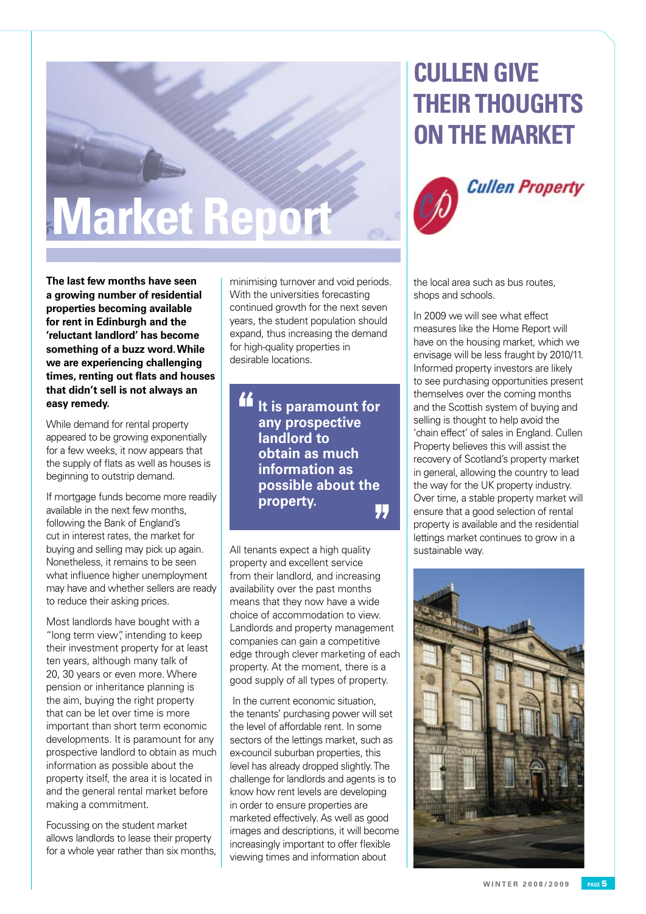# **Market Report**

## **Cullen give their thoughts on the market**





**The last few months have seen a growing number of residential properties becoming available for rent in Edinburgh and the 'reluctant landlord' has become something of a buzz word. While we are experiencing challenging times, renting out flats and houses that didn't sell is not always an easy remedy.** 

While demand for rental property appeared to be growing exponentially for a few weeks, it now appears that the supply of flats as well as houses is beginning to outstrip demand.

If mortgage funds become more readily available in the next few months, following the Bank of England's cut in interest rates, the market for buying and selling may pick up again. Nonetheless, it remains to be seen what influence higher unemployment may have and whether sellers are ready to reduce their asking prices.

Most landlords have bought with a "long term view", intending to keep their investment property for at least ten years, although many talk of 20, 30 years or even more. Where pension or inheritance planning is the aim, buying the right property that can be let over time is more important than short term economic developments. It is paramount for any prospective landlord to obtain as much information as possible about the property itself, the area it is located in and the general rental market before making a commitment.

Focussing on the student market allows landlords to lease their property for a whole year rather than six months, minimising turnover and void periods. With the universities forecasting continued growth for the next seven years, the student population should expand, thus increasing the demand for high-quality properties in desirable locations.

44 **It is paramount for any prospective landlord to obtain as much information as possible about the property.**17

All tenants expect a high quality property and excellent service from their landlord, and increasing availability over the past months means that they now have a wide choice of accommodation to view. Landlords and property management companies can gain a competitive edge through clever marketing of each property. At the moment, there is a good supply of all types of property.

 In the current economic situation, the tenants' purchasing power will set the level of affordable rent. In some sectors of the lettings market, such as ex-council suburban properties, this level has already dropped slightly. The challenge for landlords and agents is to know how rent levels are developing in order to ensure properties are marketed effectively. As well as good images and descriptions, it will become increasingly important to offer flexible viewing times and information about

the local area such as bus routes, shops and schools.

In 2009 we will see what effect measures like the Home Report will have on the housing market, which we envisage will be less fraught by 2010/11. Informed property investors are likely to see purchasing opportunities present themselves over the coming months and the Scottish system of buying and selling is thought to help avoid the 'chain effect' of sales in England. Cullen Property believes this will assist the recovery of Scotland's property market in general, allowing the country to lead the way for the UK property industry. Over time, a stable property market will ensure that a good selection of rental property is available and the residential lettings market continues to grow in a sustainable way.

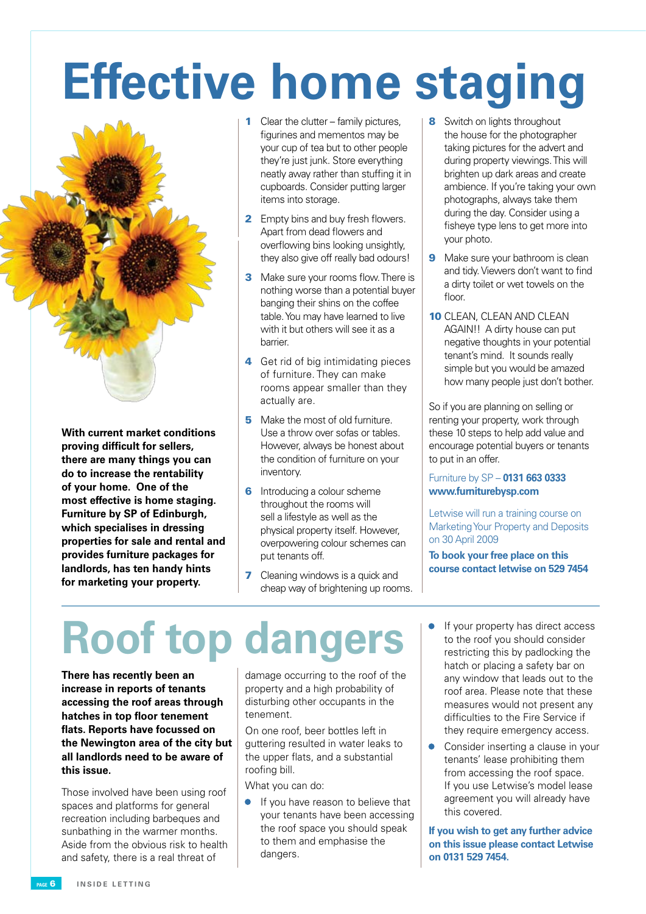# **Effective home staging**



**With current market conditions proving difficult for sellers, there are many things you can do to increase the rentability of your home. One of the most effective is home staging. Furniture by SP of Edinburgh, which specialises in dressing properties for sale and rental and provides furniture packages for landlords, has ten handy hints for marketing your property.**

- 1 Clear the clutter family pictures, figurines and mementos may be your cup of tea but to other people they're just junk. Store everything neatly away rather than stuffing it in cupboards. Consider putting larger items into storage.
- **2** Empty bins and buy fresh flowers. Apart from dead flowers and overflowing bins looking unsightly, they also give off really bad odours!
- **3** Make sure your rooms flow. There is nothing worse than a potential buyer banging their shins on the coffee table. You may have learned to live with it but others will see it as a barrier.
- 4 Get rid of big intimidating pieces of furniture. They can make rooms appear smaller than they actually are.
- **5** Make the most of old furniture. Use a throw over sofas or tables. However, always be honest about the condition of furniture on your inventory.
- **6** Introducing a colour scheme throughout the rooms will sell a lifestyle as well as the physical property itself. However, overpowering colour schemes can put tenants off.
- **7** Cleaning windows is a quick and cheap way of brightening up rooms.
- 8 Switch on lights throughout the house for the photographer taking pictures for the advert and during property viewings. This will brighten up dark areas and create ambience. If you're taking your own photographs, always take them during the day. Consider using a fisheye type lens to get more into your photo.
- **9** Make sure your bathroom is clean and tidy. Viewers don't want to find a dirty toilet or wet towels on the floor.
- 10 CLEAN, CLEAN AND CLEAN AGAIN!! A dirty house can put negative thoughts in your potential tenant's mind. It sounds really simple but you would be amazed how many people just don't bother.

So if you are planning on selling or renting your property, work through these 10 steps to help add value and encourage potential buyers or tenants to put in an offer.

#### Furniture by SP – **0131 663 0333 www.furniturebysp.com**

Letwise will run a training course on Marketing Your Property and Deposits on 30 April 2009

**To book your free place on this course contact letwise on 529 7454**

## **Roof top dangers**

**There has recently been an increase in reports of tenants accessing the roof areas through hatches in top floor tenement flats. Reports have focussed on the Newington area of the city but all landlords need to be aware of this issue.**

Those involved have been using roof spaces and platforms for general recreation including barbeques and sunbathing in the warmer months. Aside from the obvious risk to health and safety, there is a real threat of

damage occurring to the roof of the property and a high probability of disturbing other occupants in the tenement.

On one roof, beer bottles left in guttering resulted in water leaks to the upper flats, and a substantial roofing bill.

What you can do:

- If you have reason to believe that your tenants have been accessing the roof space you should speak to them and emphasise the dangers.
- **•** If your property has direct access to the roof you should consider restricting this by padlocking the hatch or placing a safety bar on any window that leads out to the roof area. Please note that these measures would not present any difficulties to the Fire Service if they require emergency access.
- Consider inserting a clause in your tenants' lease prohibiting them from accessing the roof space. If you use Letwise's model lease agreement you will already have this covered.

**If you wish to get any further advice on this issue please contact Letwise on 0131 529 7454.**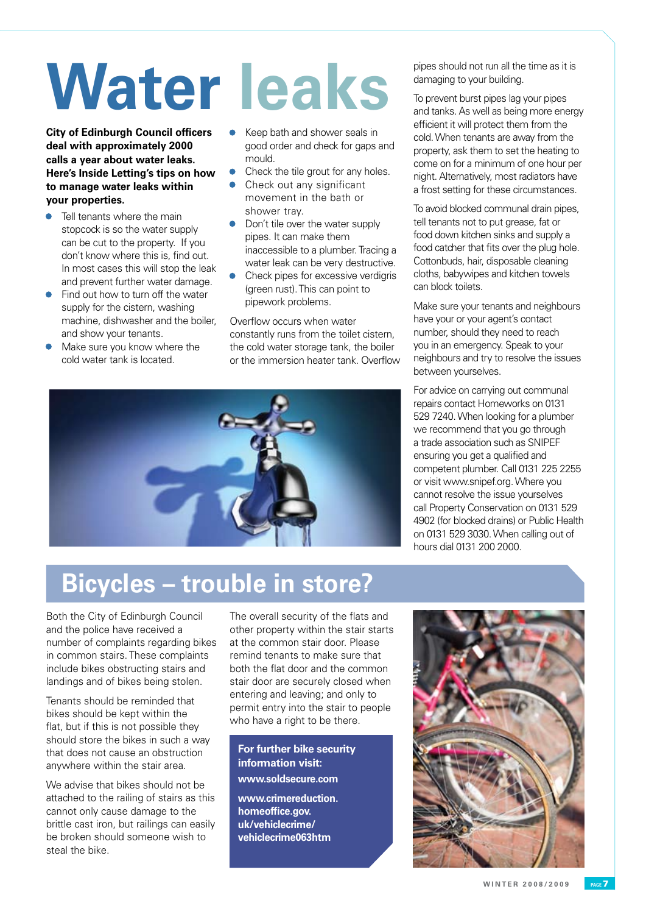# **Water leaks**

**City of Edinburgh Council officers deal with approximately 2000 calls a year about water leaks. Here's Inside Letting's tips on how to manage water leaks within your properties.**

- Tell tenants where the main stopcock is so the water supply can be cut to the property. If you don't know where this is, find out. In most cases this will stop the leak and prevent further water damage.
- Find out how to turn off the water supply for the cistern, washing machine, dishwasher and the boiler, and show your tenants.
- Make sure you know where the cold water tank is located.
- Keep bath and shower seals in good order and check for gaps and mould.
- Check the tile grout for any holes.
- Check out any significant movement in the bath or shower tray.
- Don't tile over the water supply pipes. It can make them inaccessible to a plumber. Tracing a water leak can be very destructive.
- Check pipes for excessive verdigris (green rust). This can point to pipework problems.

Overflow occurs when water constantly runs from the toilet cistern, the cold water storage tank, the boiler or the immersion heater tank. Overflow



pipes should not run all the time as it is damaging to your building.

To prevent burst pipes lag your pipes and tanks. As well as being more energy efficient it will protect them from the cold. When tenants are away from the property, ask them to set the heating to come on for a minimum of one hour per night. Alternatively, most radiators have a frost setting for these circumstances.

To avoid blocked communal drain pipes, tell tenants not to put grease, fat or food down kitchen sinks and supply a food catcher that fits over the plug hole. Cottonbuds, hair, disposable cleaning cloths, babywipes and kitchen towels can block toilets.

Make sure your tenants and neighbours have your or your agent's contact number, should they need to reach you in an emergency. Speak to your neighbours and try to resolve the issues between yourselves.

For advice on carrying out communal repairs contact Homeworks on 0131 529 7240. When looking for a plumber we recommend that you go through a trade association such as SNIPEF ensuring you get a qualified and competent plumber. Call 0131 225 2255 or visit www.snipef.org. Where you cannot resolve the issue yourselves call Property Conservation on 0131 529 4902 (for blocked drains) or Public Health on 0131 529 3030. When calling out of hours dial 0131 200 2000.

## **Bicycles – trouble in store?**

Both the City of Edinburgh Council and the police have received a number of complaints regarding bikes in common stairs. These complaints include bikes obstructing stairs and landings and of bikes being stolen.

Tenants should be reminded that bikes should be kept within the flat, but if this is not possible they should store the bikes in such a way that does not cause an obstruction anywhere within the stair area.

We advise that bikes should not be attached to the railing of stairs as this cannot only cause damage to the brittle cast iron, but railings can easily be broken should someone wish to steal the bike.

The overall security of the flats and other property within the stair starts at the common stair door. Please remind tenants to make sure that both the flat door and the common stair door are securely closed when entering and leaving; and only to permit entry into the stair to people who have a right to be there.

#### **For further bike security information visit:**

**www.soldsecure.com** 

**www.crimereduction. homeoffice.gov. uk/vehiclecrime/ vehiclecrime063htm**

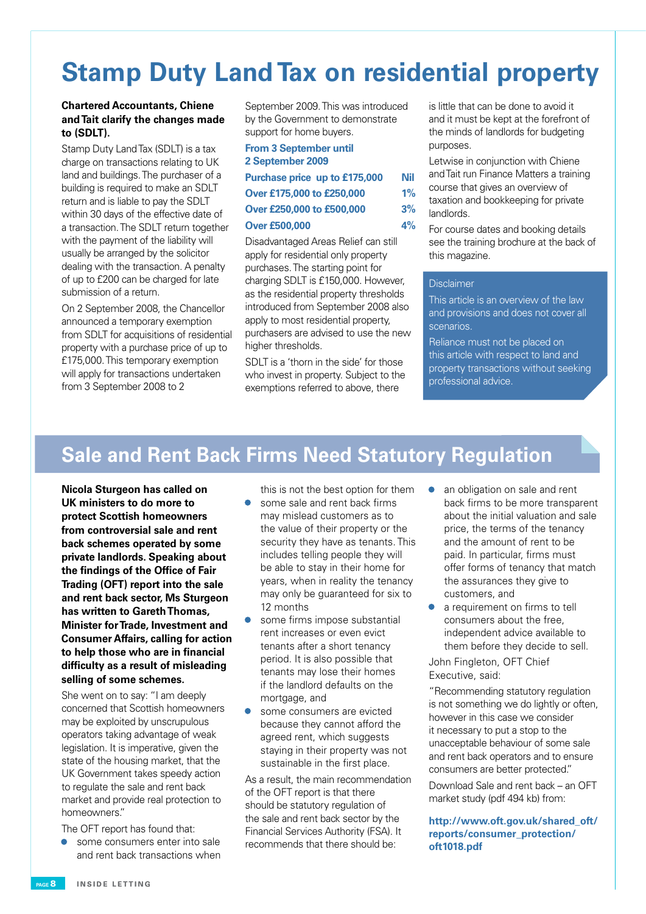## **Stamp Duty Land Tax on residential property**

#### **Chartered Accountants, Chiene and Tait clarify the changes made to (SDLT).**

Stamp Duty Land Tax (SDLT) is a tax charge on transactions relating to UK land and buildings. The purchaser of a building is required to make an SDLT return and is liable to pay the SDLT within 30 days of the effective date of a transaction. The SDLT return together with the payment of the liability will usually be arranged by the solicitor dealing with the transaction. A penalty of up to £200 can be charged for late submission of a return.

On 2 September 2008, the Chancellor announced a temporary exemption from SDLT for acquisitions of residential property with a purchase price of up to £175,000. This temporary exemption will apply for transactions undertaken from 3 September 2008 to 2

September 2009. This was introduced by the Government to demonstrate support for home buyers.

| <b>From 3 September until</b><br>2 September 2009 |       |
|---------------------------------------------------|-------|
| Purchase price up to £175,000                     | Nil   |
| Over £175,000 to £250,000                         | $1\%$ |
| Over £250,000 to £500,000                         | 3%    |
| <b>Over £500,000</b>                              | 4%    |

Disadvantaged Areas Relief can still apply for residential only property purchases. The starting point for charging SDLT is £150,000. However, as the residential property thresholds introduced from September 2008 also apply to most residential property, purchasers are advised to use the new higher thresholds.

SDLT is a 'thorn in the side' for those who invest in property. Subject to the exemptions referred to above, there

is little that can be done to avoid it and it must be kept at the forefront of the minds of landlords for budgeting purposes.

Letwise in conjunction with Chiene and Tait run Finance Matters a training course that gives an overview of taxation and bookkeeping for private landlords.

For course dates and booking details see the training brochure at the back of this magazine.

#### Disclaimer

This article is an overview of the law and provisions and does not cover all scenarios.

Reliance must not be placed on this article with respect to land and property transactions without seeking professional advice.

### **Sale and Rent Back Firms Need Statutory Regulation**

**Nicola Sturgeon has called on UK ministers to do more to protect Scottish homeowners from controversial sale and rent back schemes operated by some private landlords. Speaking about the findings of the Office of Fair Trading (OFT) report into the sale and rent back sector, Ms Sturgeon has written to Gareth Thomas, Minister for Trade, Investment and Consumer Affairs, calling for action to help those who are in financial difficulty as a result of misleading selling of some schemes.**

She went on to say: "I am deeply concerned that Scottish homeowners may be exploited by unscrupulous operators taking advantage of weak legislation. It is imperative, given the state of the housing market, that the UK Government takes speedy action to regulate the sale and rent back market and provide real protection to homeowners."

The OFT report has found that:

some consumers enter into sale and rent back transactions when this is not the best option for them

- some sale and rent back firms may mislead customers as to the value of their property or the security they have as tenants. This includes telling people they will be able to stay in their home for years, when in reality the tenancy may only be guaranteed for six to 12 months
- some firms impose substantial rent increases or even evict tenants after a short tenancy period. It is also possible that tenants may lose their homes if the landlord defaults on the mortgage, and
- some consumers are evicted because they cannot afford the agreed rent, which suggests staying in their property was not sustainable in the first place.

As a result, the main recommendation of the OFT report is that there should be statutory regulation of the sale and rent back sector by the Financial Services Authority (FSA). It recommends that there should be:

- an obligation on sale and rent back firms to be more transparent about the initial valuation and sale price, the terms of the tenancy and the amount of rent to be paid. In particular, firms must offer forms of tenancy that match the assurances they give to customers, and
- a requirement on firms to tell consumers about the free, independent advice available to them before they decide to sell.

John Fingleton, OFT Chief Executive, said:

"Recommending statutory regulation is not something we do lightly or often, however in this case we consider it necessary to put a stop to the unacceptable behaviour of some sale and rent back operators and to ensure consumers are better protected."

Download Sale and rent back – an OFT market study (pdf 494 kb) from:

**http://www.oft.gov.uk/shared\_oft/ reports/consumer\_protection/ oft1018.pdf**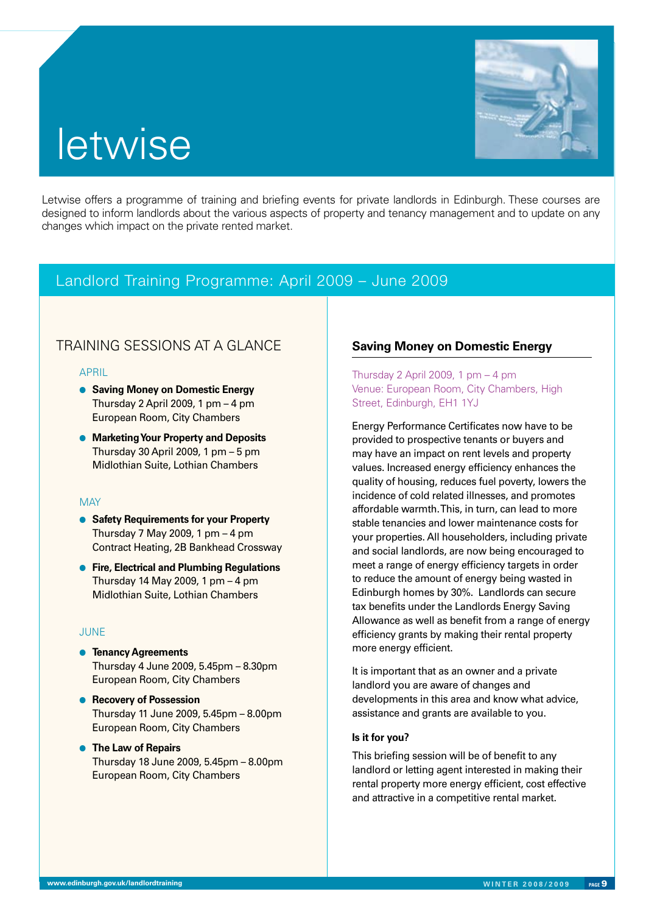## **letwise**

Letwise offers a programme of training and briefing events for private landlords in Edinburgh. These courses are designed to inform landlords about the various aspects of property and tenancy management and to update on any changes which impact on the private rented market.

#### Landlord Training Programme: April 2009 – June 2009

#### TRAINING SESSIONS AT A GLANCE **Saving Money on Domestic Energy**

#### APRIL

- **e** Saving Money on Domestic Energy Thursday 2 April 2009, 1 pm – 4 pm European Room, City Chambers
- **Marketing Your Property and Deposits** Thursday 30 April 2009, 1 pm  $-5$  pm Midlothian Suite, Lothian Chambers

#### **MAY**

- **Safety Requirements for your Property** Thursday 7 May 2009, 1 pm  $-4$  pm Contract Heating, 2B Bankhead Crossway
- **e** Fire, Electrical and Plumbing Regulations Thursday 14 May 2009, 1 pm – 4 pm Midlothian Suite, Lothian Chambers

#### **JUNE**

- **e** Tenancy Agreements Thursday 4 June 2009, 5.45pm – 8.30pm European Room, City Chambers
- **e** Recovery of Possession Thursday 11 June 2009, 5.45pm – 8.00pm European Room, City Chambers
- **The Law of Repairs** Thursday 18 June 2009, 5.45pm – 8.00pm European Room, City Chambers

Thursday 2 April 2009, 1 pm  $-4$  pm Venue: European Room, City Chambers, High Street, Edinburgh, EH1 1YJ

Energy Performance Certificates now have to be provided to prospective tenants or buyers and may have an impact on rent levels and property values. Increased energy efficiency enhances the quality of housing, reduces fuel poverty, lowers the incidence of cold related illnesses, and promotes affordable warmth. This, in turn, can lead to more stable tenancies and lower maintenance costs for your properties. All householders, including private and social landlords, are now being encouraged to meet a range of energy efficiency targets in order to reduce the amount of energy being wasted in Edinburgh homes by 30%. Landlords can secure tax benefits under the Landlords Energy Saving Allowance as well as benefit from a range of energy efficiency grants by making their rental property more energy efficient.

It is important that as an owner and a private landlord you are aware of changes and developments in this area and know what advice, assistance and grants are available to you.

#### **Is it for you?**

This briefing session will be of benefit to any landlord or letting agent interested in making their rental property more energy efficient, cost effective and attractive in a competitive rental market.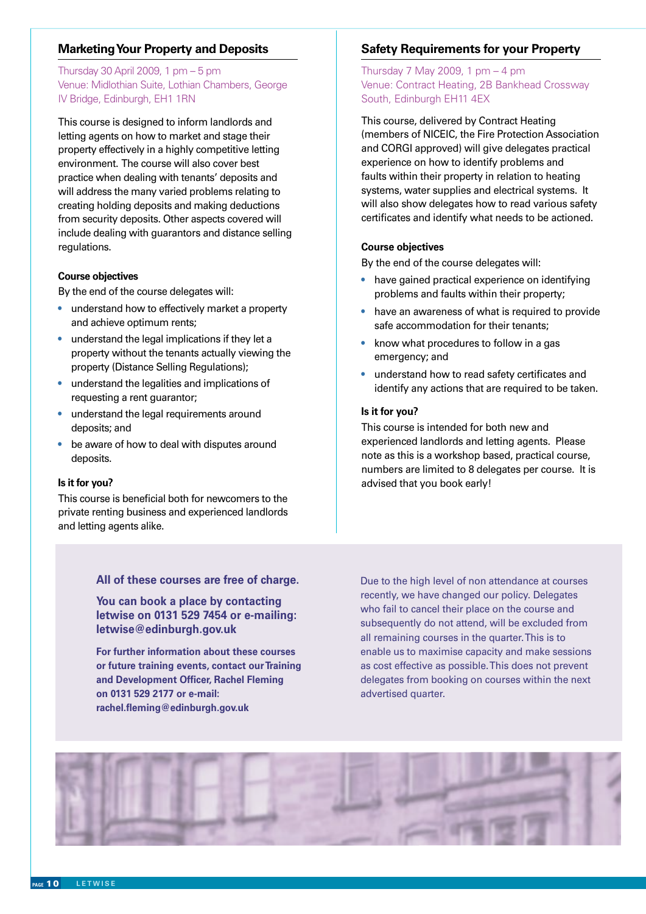#### **Marketing Your Property and Deposits**

#### Thursday 30 April 2009, 1 pm – 5 pm Venue: Midlothian Suite, Lothian Chambers, George IV Bridge, Edinburgh, EH1 1RN

This course is designed to inform landlords and letting agents on how to market and stage their property effectively in a highly competitive letting environment. The course will also cover best practice when dealing with tenants' deposits and will address the many varied problems relating to creating holding deposits and making deductions from security deposits. Other aspects covered will include dealing with guarantors and distance selling regulations.

#### **Course objectives**

By the end of the course delegates will:

- understand how to effectively market a property and achieve optimum rents;
- understand the legal implications if they let a property without the tenants actually viewing the property (Distance Selling Regulations);
- understand the legalities and implications of requesting a rent guarantor;
- understand the legal requirements around deposits; and
- be aware of how to deal with disputes around deposits.

#### **Is it for you?**

This course is beneficial both for newcomers to the private renting business and experienced landlords and letting agents alike.

#### **Safety Requirements for your Property**

Thursday 7 May 2009, 1 pm  $-4$  pm Venue: Contract Heating, 2B Bankhead Crossway South, Edinburgh EH11 4EX

This course, delivered by Contract Heating (members of NICEIC, the Fire Protection Association and CORGI approved) will give delegates practical experience on how to identify problems and faults within their property in relation to heating systems, water supplies and electrical systems. It will also show delegates how to read various safety certificates and identify what needs to be actioned.

#### **Course objectives**

By the end of the course delegates will:

- have gained practical experience on identifying problems and faults within their property;
- have an awareness of what is required to provide safe accommodation for their tenants;
- know what procedures to follow in a gas emergency; and
- understand how to read safety certificates and identify any actions that are required to be taken.

#### **Is it for you?**

This course is intended for both new and experienced landlords and letting agents. Please note as this is a workshop based, practical course, numbers are limited to 8 delegates per course. It is advised that you book early!

#### **All of these courses are free of charge.**

**You can book a place by contacting letwise on 0131 529 7454 or e-mailing: letwise@edinburgh.gov.uk**

**For further information about these courses or future training events, contact our Training and Development Officer, Rachel Fleming on 0131 529 2177 or e-mail: rachel.fleming@edinburgh.gov.uk**

Due to the high level of non attendance at courses recently, we have changed our policy. Delegates who fail to cancel their place on the course and subsequently do not attend, will be excluded from all remaining courses in the quarter. This is to enable us to maximise capacity and make sessions as cost effective as possible. This does not prevent delegates from booking on courses within the next advertised quarter.

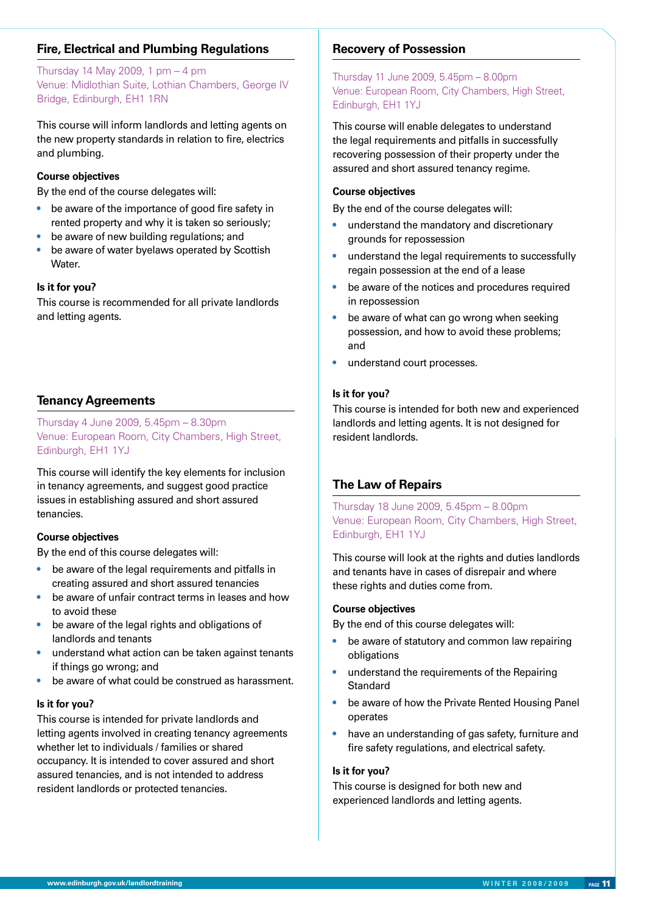#### **Fire, Electrical and Plumbing Regulations**

Thursday 14 May 2009, 1 pm – 4 pm Venue: Midlothian Suite, Lothian Chambers, George IV Bridge, Edinburgh, EH1 1RN

This course will inform landlords and letting agents on the new property standards in relation to fire, electrics and plumbing.

#### **Course objectives**

By the end of the course delegates will:

- be aware of the importance of good fire safety in rented property and why it is taken so seriously;
- be aware of new building regulations; and
- be aware of water byelaws operated by Scottish Water.

#### **Is it for you?**

This course is recommended for all private landlords and letting agents.

#### **Tenancy Agreements**

Thursday 4 June 2009, 5.45pm – 8.30pm Venue: European Room, City Chambers, High Street, Edinburgh, EH1 1YJ

This course will identify the key elements for inclusion in tenancy agreements, and suggest good practice issues in establishing assured and short assured tenancies.

#### **Course objectives**

By the end of this course delegates will:

- be aware of the legal requirements and pitfalls in creating assured and short assured tenancies
- be aware of unfair contract terms in leases and how to avoid these
- be aware of the legal rights and obligations of landlords and tenants
- understand what action can be taken against tenants if things go wrong; and
- be aware of what could be construed as harassment.

#### **Is it for you?**

This course is intended for private landlords and letting agents involved in creating tenancy agreements whether let to individuals / families or shared occupancy. It is intended to cover assured and short assured tenancies, and is not intended to address resident landlords or protected tenancies.

#### **Recovery of Possession**

Thursday 11 June 2009, 5.45pm – 8.00pm Venue: European Room, City Chambers, High Street, Edinburgh, EH1 1YJ

This course will enable delegates to understand the legal requirements and pitfalls in successfully recovering possession of their property under the assured and short assured tenancy regime.

#### **Course objectives**

By the end of the course delegates will:

- understand the mandatory and discretionary grounds for repossession
- understand the legal requirements to successfully regain possession at the end of a lease
- be aware of the notices and procedures required in repossession
- be aware of what can go wrong when seeking possession, and how to avoid these problems; and
- understand court processes.

#### **Is it for you?**

This course is intended for both new and experienced landlords and letting agents. It is not designed for resident landlords.

#### **The Law of Repairs**

Thursday 18 June 2009, 5.45pm – 8.00pm Venue: European Room, City Chambers, High Street, Edinburgh, EH1 1YJ

This course will look at the rights and duties landlords and tenants have in cases of disrepair and where these rights and duties come from.

#### **Course objectives**

By the end of this course delegates will:

- be aware of statutory and common law repairing obligations
- understand the requirements of the Repairing **Standard**
- be aware of how the Private Rented Housing Panel operates
- have an understanding of gas safety, furniture and fire safety regulations, and electrical safety.

#### **Is it for you?**

This course is designed for both new and experienced landlords and letting agents.